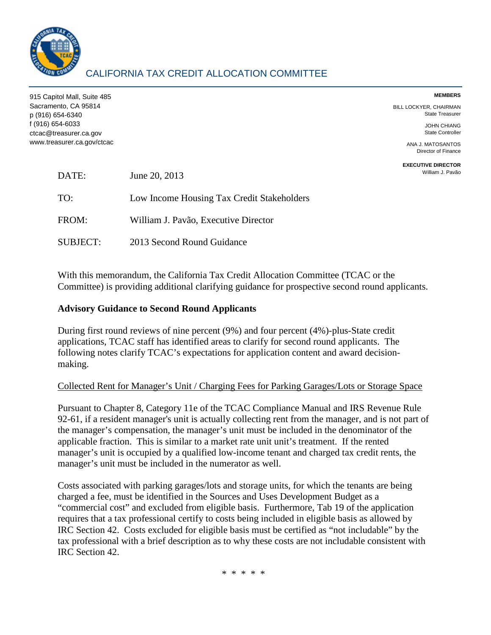

# CALIFORNIA TAX CREDIT ALLOCATION COMMITTEE

| 915 Capitol Mall, Suite 485                |               | <b>MEMBERS</b>                                   |
|--------------------------------------------|---------------|--------------------------------------------------|
| Sacramento, CA 95814<br>p (916) 654-6340   |               | BILL LOCKYER, CHAIRMAN<br><b>State Treasurer</b> |
| f (916) 654-6033<br>ctcac@treasurer.ca.gov |               | <b>JOHN CHIANG</b><br><b>State Controller</b>    |
| www.treasurer.ca.gov/ctcac                 |               | ANA J. MATOSANTOS<br>Director of Finance         |
| DATE:                                      | June 20, 2013 | <b>EXECUTIVE DIRECTOR</b><br>William J. Pavão    |

TO: Low Income Housing Tax Credit Stakeholders FROM: William J. Pavão, Executive Director

SUBJECT: 2013 Second Round Guidance

With this memorandum, the California Tax Credit Allocation Committee (TCAC or the Committee) is providing additional clarifying guidance for prospective second round applicants.

### **Advisory Guidance to Second Round Applicants**

During first round reviews of nine percent (9%) and four percent (4%)-plus-State credit applications, TCAC staff has identified areas to clarify for second round applicants. The following notes clarify TCAC's expectations for application content and award decisionmaking.

#### Collected Rent for Manager's Unit / Charging Fees for Parking Garages/Lots or Storage Space

Pursuant to Chapter 8, Category 11e of the TCAC Compliance Manual and IRS Revenue Rule 92-61, if a resident manager's unit is actually collecting rent from the manager, and is not part of the manager's compensation, the manager's unit must be included in the denominator of the applicable fraction. This is similar to a market rate unit unit's treatment. If the rented manager's unit is occupied by a qualified low-income tenant and charged tax credit rents, the manager's unit must be included in the numerator as well.

Costs associated with parking garages/lots and storage units, for which the tenants are being charged a fee, must be identified in the Sources and Uses Development Budget as a "commercial cost" and excluded from eligible basis. Furthermore, Tab 19 of the application requires that a tax professional certify to costs being included in eligible basis as allowed by IRC Section 42. Costs excluded for eligible basis must be certified as "not includable" by the tax professional with a brief description as to why these costs are not includable consistent with IRC Section 42.

\* \* \* \* \*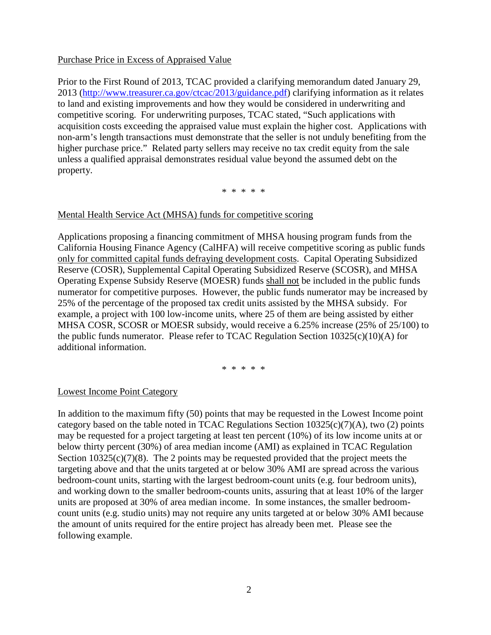#### Purchase Price in Excess of Appraised Value

Prior to the First Round of 2013, TCAC provided a clarifying memorandum dated January 29, 2013 [\(http://www.treasurer.ca.gov/ctcac/2013/guidance.pdf\)](http://www.treasurer.ca.gov/ctcac/2013/guidance.pdf) clarifying information as it relates to land and existing improvements and how they would be considered in underwriting and competitive scoring. For underwriting purposes, TCAC stated, "Such applications with acquisition costs exceeding the appraised value must explain the higher cost. Applications with non-arm's length transactions must demonstrate that the seller is not unduly benefiting from the higher purchase price." Related party sellers may receive no tax credit equity from the sale unless a qualified appraisal demonstrates residual value beyond the assumed debt on the property.

\* \* \* \* \*

#### Mental Health Service Act (MHSA) funds for competitive scoring

Applications proposing a financing commitment of MHSA housing program funds from the California Housing Finance Agency (CalHFA) will receive competitive scoring as public funds only for committed capital funds defraying development costs. Capital Operating Subsidized Reserve (COSR), Supplemental Capital Operating Subsidized Reserve (SCOSR), and MHSA Operating Expense Subsidy Reserve (MOESR) funds shall not be included in the public funds numerator for competitive purposes. However, the public funds numerator may be increased by 25% of the percentage of the proposed tax credit units assisted by the MHSA subsidy. For example, a project with 100 low-income units, where 25 of them are being assisted by either MHSA COSR, SCOSR or MOESR subsidy, would receive a 6.25% increase (25% of 25/100) to the public funds numerator. Please refer to TCAC Regulation Section 10325(c)(10)(A) for additional information.

\* \* \* \* \*

#### Lowest Income Point Category

In addition to the maximum fifty (50) points that may be requested in the Lowest Income point category based on the table noted in TCAC Regulations Section  $10325(c)(7)(A)$ , two (2) points may be requested for a project targeting at least ten percent (10%) of its low income units at or below thirty percent (30%) of area median income (AMI) as explained in TCAC Regulation Section  $10325(c)(7)(8)$ . The 2 points may be requested provided that the project meets the targeting above and that the units targeted at or below 30% AMI are spread across the various bedroom-count units, starting with the largest bedroom-count units (e.g. four bedroom units), and working down to the smaller bedroom-counts units, assuring that at least 10% of the larger units are proposed at 30% of area median income. In some instances, the smaller bedroomcount units (e.g. studio units) may not require any units targeted at or below 30% AMI because the amount of units required for the entire project has already been met. Please see the following example.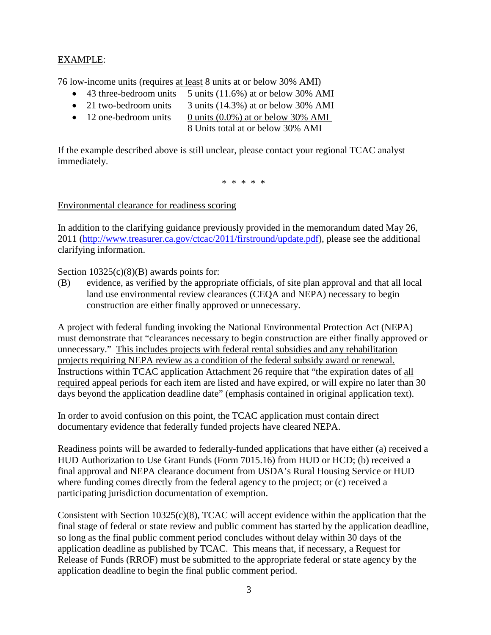## EXAMPLE:

76 low-income units (requires at least 8 units at or below 30% AMI)

- 43 three-bedroom units 5 units  $(11.6\%)$  at or below 30% AMI
- 21 two-bedroom units 3 units (14.3%) at or below 30% AMI
- 12 one-bedroom units 0 units  $(0.0\%)$  at or below 30% AMI
	- 8 Units total at or below 30% AMI

If the example described above is still unclear, please contact your regional TCAC analyst immediately.

\* \* \* \* \*

Environmental clearance for readiness scoring

In addition to the clarifying guidance previously provided in the memorandum dated May 26, 2011 [\(http://www.treasurer.ca.gov/ctcac/2011/firstround/update.pdf\)](http://www.treasurer.ca.gov/ctcac/2011/firstround/update.pdf), please see the additional clarifying information.

Section  $10325(c)(8)(B)$  awards points for:

(B) evidence, as verified by the appropriate officials, of site plan approval and that all local land use environmental review clearances (CEQA and NEPA) necessary to begin construction are either finally approved or unnecessary.

A project with federal funding invoking the National Environmental Protection Act (NEPA) must demonstrate that "clearances necessary to begin construction are either finally approved or unnecessary." This includes projects with federal rental subsidies and any rehabilitation projects requiring NEPA review as a condition of the federal subsidy award or renewal. Instructions within TCAC application Attachment 26 require that "the expiration dates of all required appeal periods for each item are listed and have expired, or will expire no later than 30 days beyond the application deadline date" (emphasis contained in original application text).

In order to avoid confusion on this point, the TCAC application must contain direct documentary evidence that federally funded projects have cleared NEPA.

Readiness points will be awarded to federally-funded applications that have either (a) received a HUD Authorization to Use Grant Funds (Form 7015.16) from HUD or HCD; (b) received a final approval and NEPA clearance document from USDA's Rural Housing Service or HUD where funding comes directly from the federal agency to the project; or (c) received a participating jurisdiction documentation of exemption.

Consistent with Section 10325(c)(8), TCAC will accept evidence within the application that the final stage of federal or state review and public comment has started by the application deadline, so long as the final public comment period concludes without delay within 30 days of the application deadline as published by TCAC. This means that, if necessary, a Request for Release of Funds (RROF) must be submitted to the appropriate federal or state agency by the application deadline to begin the final public comment period.